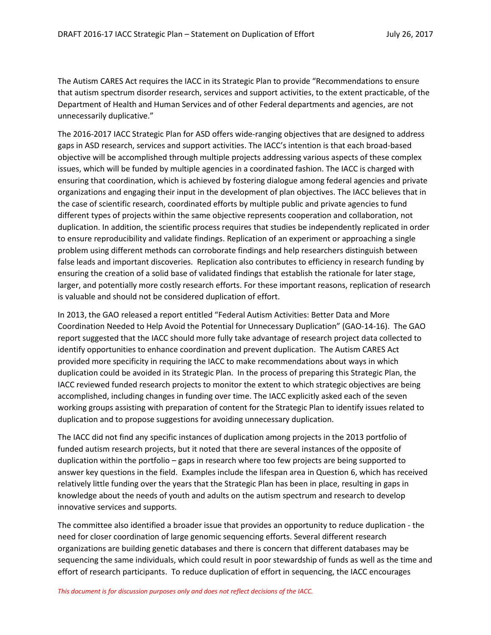The Autism CARES Act requires the IACC in its Strategic Plan to provide "Recommendations to ensure that autism spectrum disorder research, services and support activities, to the extent practicable, of the Department of Health and Human Services and of other Federal departments and agencies, are not unnecessarily duplicative."

The 2016-2017 IACC Strategic Plan for ASD offers wide-ranging objectives that are designed to address gaps in ASD research, services and support activities. The IACC's intention is that each broad-based objective will be accomplished through multiple projects addressing various aspects of these complex issues, which will be funded by multiple agencies in a coordinated fashion. The IACC is charged with ensuring that coordination, which is achieved by fostering dialogue among federal agencies and private organizations and engaging their input in the development of plan objectives. The IACC believes that in the case of scientific research, coordinated efforts by multiple public and private agencies to fund different types of projects within the same objective represents cooperation and collaboration, not duplication. In addition, the scientific process requires that studies be independently replicated in order to ensure reproducibility and validate findings. Replication of an experiment or approaching a single problem using different methods can corroborate findings and help researchers distinguish between false leads and important discoveries. Replication also contributes to efficiency in research funding by ensuring the creation of a solid base of validated findings that establish the rationale for later stage, larger, and potentially more costly research efforts. For these important reasons, replication of research is valuable and should not be considered duplication of effort.

In 2013, the GAO released a report entitled "Federal Autism Activities: Better Data and More Coordination Needed to Help Avoid the Potential for Unnecessary Duplication" (GAO-14-16). The GAO report suggested that the IACC should more fully take advantage of research project data collected to identify opportunities to enhance coordination and prevent duplication. The Autism CARES Act provided more specificity in requiring the IACC to make recommendations about ways in which duplication could be avoided in its Strategic Plan. In the process of preparing this Strategic Plan, the IACC reviewed funded research projects to monitor the extent to which strategic objectives are being accomplished, including changes in funding over time. The IACC explicitly asked each of the seven working groups assisting with preparation of content for the Strategic Plan to identify issues related to duplication and to propose suggestions for avoiding unnecessary duplication.

The IACC did not find any specific instances of duplication among projects in the 2013 portfolio of funded autism research projects, but it noted that there are several instances of the opposite of duplication within the portfolio – gaps in research where too few projects are being supported to answer key questions in the field. Examples include the lifespan area in Question 6, which has received relatively little funding over the years that the Strategic Plan has been in place, resulting in gaps in knowledge about the needs of youth and adults on the autism spectrum and research to develop innovative services and supports.

The committee also identified a broader issue that provides an opportunity to reduce duplication - the need for closer coordination of large genomic sequencing efforts. Several different research organizations are building genetic databases and there is concern that different databases may be sequencing the same individuals, which could result in poor stewardship of funds as well as the time and effort of research participants. To reduce duplication of effort in sequencing, the IACC encourages